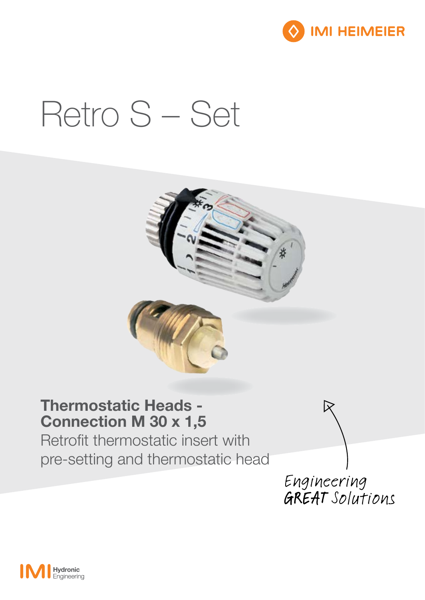

# Retro S - Set



### **Thermostatic Heads -Connection M 30 x 1,5**

Retrofit thermostatic insert with pre-setting and thermostatic head

Engineering GREAT Solutions

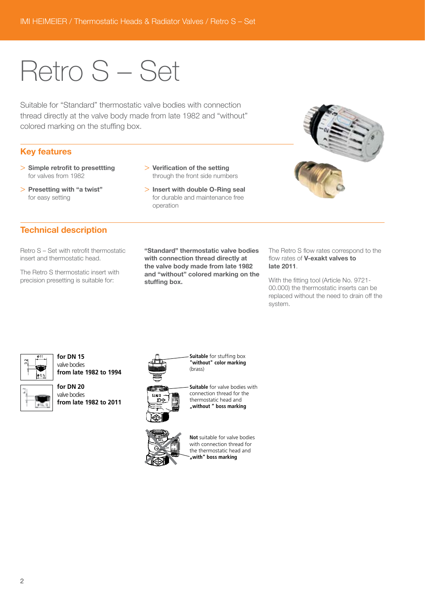## Retro S – Set

Suitable for "Standard" thermostatic valve bodies with connection thread directly at the valve body made from late 1982 and "without" colored marking on the stuffing box.

#### Key features

for easy setting

> Simple retrofit to presettting for valves from 1982

> Presetting with "a twist"

- > Verification of the setting through the front side numbers
- > Insert with double O-Ring seal for durable and maintenance free operation



#### Technical description

Retro S – Set with retrofit thermostatic insert and thermostatic head.

The Retro S thermostatic insert with precision presetting is suitable for:

"Standard" thermostatic valve bodies with connection thread directly at the valve body made from late 1982 and "without" colored marking on the stuffing box.

The Retro S flow rates correspond to the flow rates of V-exakt valves to late 2011.

With the fitting tool (Article No. 9721- 00.000) the thermostatic inserts can be replaced without the need to drain off the system.



**for DN 15** valve bodies **from late 1982 to 1994** 



**for DN 20** valve bodies



**Suitable** for stuffing box **"without" color marking** (brass)



**Suitable** for valve bodies with connection thread for the thermostatic head and **"without " boss marking**



**Not** suitable for valve bodies with connection thread for the thermostatic head and with" boss marking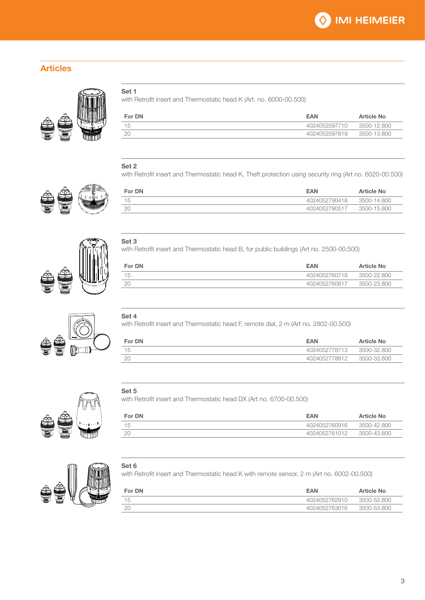#### Articles





with Retrofit insert and Thermostatic head K (Art. no. 6000-00.500)

| For DN | <b>FAN</b>    | <b>Article No</b> |
|--------|---------------|-------------------|
| ィム     | 4024052597710 | 3500-12.800       |
| 2C     | 4024052597819 | 3500-13.800       |

#### Set 2

with Retrofit insert and Thermostatic head K, Theft protection using security ring (Art no. 6020-00.500)

For DN **EAN** Article No. 15 4024052790418 3500-14.800 20 4024052790517 3500-15.800







#### Set 3

with Retrofit insert and Thermostatic head B, for public buildings (Art no. 2500-00.500)

| For DN | <b>EAN</b>    | <b>Article No</b> |
|--------|---------------|-------------------|
| 15     | 4024052760718 | 3500-22.800       |
|        | 4024052760817 | 3500-23.800       |

#### Set 4

with Retrofit insert and Thermostatic head F, remote dial, 2 m (Art no. 2802-00.500)

| For DN | <b>EAN</b>    | <b>Article No</b> |
|--------|---------------|-------------------|
| 15     | 4024052778713 | 3500-32.800       |
| 20     | 4024052778812 | 3500-33.800       |



with Retrofit insert and Thermostatic head DX (Art no. 6700-00.500)

| For DN | <b>FAN</b>    | <b>Article No</b> |
|--------|---------------|-------------------|
| 15     | 4024052760916 | 3500-42.800       |
|        | 4024052761012 | 3500-43.800       |
|        |               |                   |



#### Set 6

with Retrofit insert and Thermostatic head K with remote sensor, 2 m (Art no. 6002-00.500)

| For DN | <b>EAN</b>    | Article No  |
|--------|---------------|-------------|
| 15     | 4024052762910 | 3500-52.800 |
|        | 4024052763016 | 3500-53.800 |